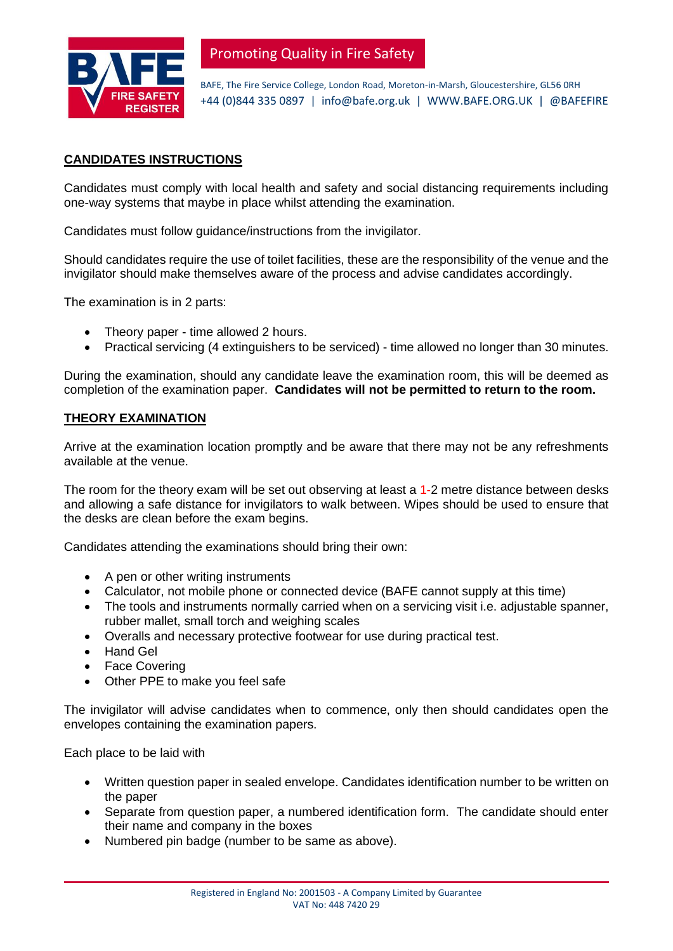

Promoting Quality in Fire Safety

BAFE, The Fire Service College, London Road, Moreton-in-Marsh, Gloucestershire, GL56 0RH +44 (0)844 335 0897 | info@bafe.org.uk | WWW.BAFE.ORG.UK | @BAFEFIRE

# **CANDIDATES INSTRUCTIONS**

Candidates must comply with local health and safety and social distancing requirements including one-way systems that maybe in place whilst attending the examination.

Candidates must follow guidance/instructions from the invigilator.

Should candidates require the use of toilet facilities, these are the responsibility of the venue and the invigilator should make themselves aware of the process and advise candidates accordingly.

The examination is in 2 parts:

- Theory paper time allowed 2 hours.
- Practical servicing (4 extinguishers to be serviced) time allowed no longer than 30 minutes.

During the examination, should any candidate leave the examination room, this will be deemed as completion of the examination paper. **Candidates will not be permitted to return to the room.**

#### **THEORY EXAMINATION**

Arrive at the examination location promptly and be aware that there may not be any refreshments available at the venue.

The room for the theory exam will be set out observing at least a 1-2 metre distance between desks and allowing a safe distance for invigilators to walk between. Wipes should be used to ensure that the desks are clean before the exam begins.

Candidates attending the examinations should bring their own:

- A pen or other writing instruments
- Calculator, not mobile phone or connected device (BAFE cannot supply at this time)
- The tools and instruments normally carried when on a servicing visit i.e. adjustable spanner, rubber mallet, small torch and weighing scales
- Overalls and necessary protective footwear for use during practical test.
- Hand Gel
- Face Covering
- Other PPE to make you feel safe

The invigilator will advise candidates when to commence, only then should candidates open the envelopes containing the examination papers.

Each place to be laid with

- Written question paper in sealed envelope. Candidates identification number to be written on the paper
- Separate from question paper, a numbered identification form. The candidate should enter their name and company in the boxes
- Numbered pin badge (number to be same as above).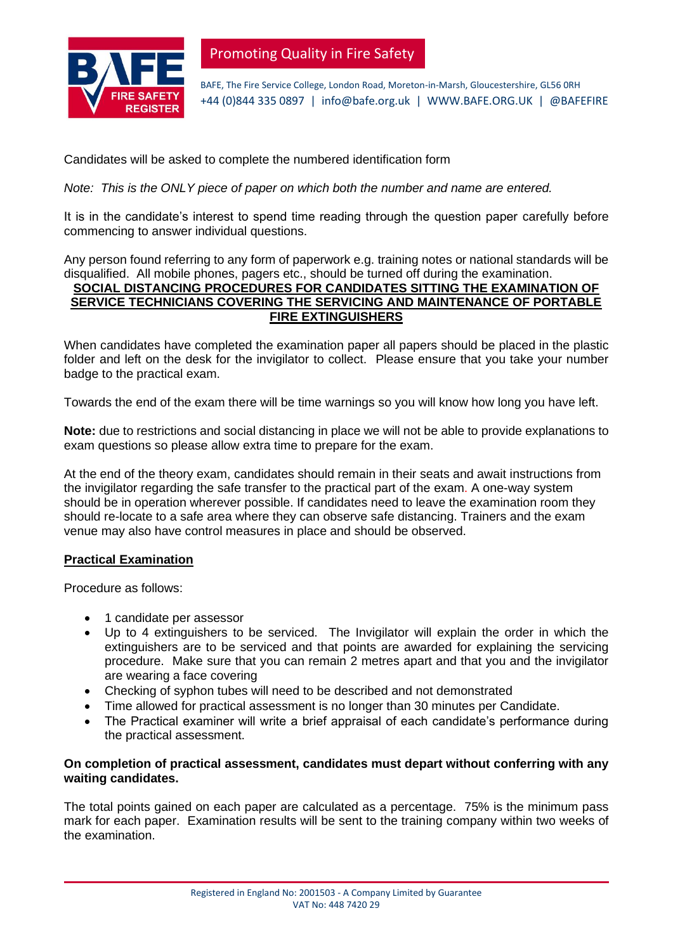

Promoting Quality in Fire Safety

BAFE, The Fire Service College, London Road, Moreton-in-Marsh, Gloucestershire, GL56 0RH +44 (0)844 335 0897 | info@bafe.org.uk | WWW.BAFE.ORG.UK | @BAFEFIRE

Candidates will be asked to complete the numbered identification form

*Note: This is the ONLY piece of paper on which both the number and name are entered.* 

It is in the candidate's interest to spend time reading through the question paper carefully before commencing to answer individual questions.

Any person found referring to any form of paperwork e.g. training notes or national standards will be disqualified. All mobile phones, pagers etc., should be turned off during the examination.

# **SOCIAL DISTANCING PROCEDURES FOR CANDIDATES SITTING THE EXAMINATION OF SERVICE TECHNICIANS COVERING THE SERVICING AND MAINTENANCE OF PORTABLE FIRE EXTINGUISHERS**

When candidates have completed the examination paper all papers should be placed in the plastic folder and left on the desk for the invigilator to collect. Please ensure that you take your number badge to the practical exam.

Towards the end of the exam there will be time warnings so you will know how long you have left.

**Note:** due to restrictions and social distancing in place we will not be able to provide explanations to exam questions so please allow extra time to prepare for the exam.

At the end of the theory exam, candidates should remain in their seats and await instructions from the invigilator regarding the safe transfer to the practical part of the exam. A one-way system should be in operation wherever possible. If candidates need to leave the examination room they should re-locate to a safe area where they can observe safe distancing. Trainers and the exam venue may also have control measures in place and should be observed.

### **Practical Examination**

Procedure as follows:

- 1 candidate per assessor
- Up to 4 extinguishers to be serviced. The Invigilator will explain the order in which the extinguishers are to be serviced and that points are awarded for explaining the servicing procedure.Make sure that you can remain 2 metres apart and that you and the invigilator are wearing a face covering
- Checking of syphon tubes will need to be described and not demonstrated
- Time allowed for practical assessment is no longer than 30 minutes per Candidate.
- The Practical examiner will write a brief appraisal of each candidate's performance during the practical assessment.

### **On completion of practical assessment, candidates must depart without conferring with any waiting candidates.**

The total points gained on each paper are calculated as a percentage. 75% is the minimum pass mark for each paper. Examination results will be sent to the training company within two weeks of the examination.